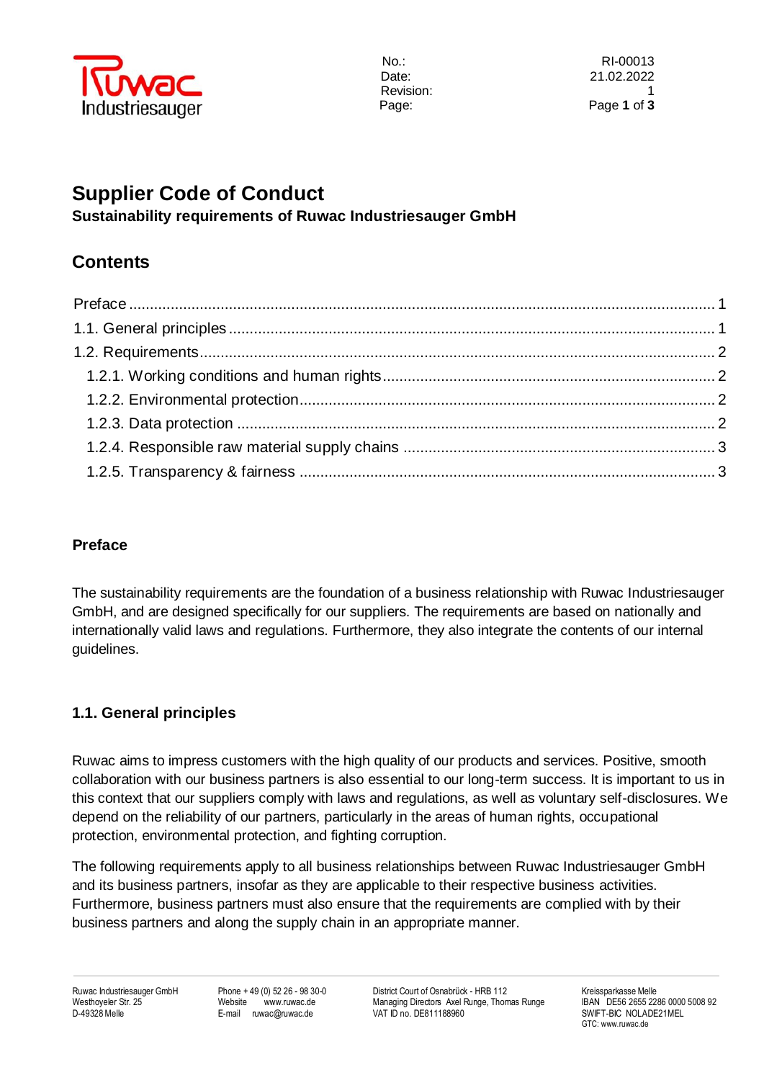

# **Supplier Code of Conduct**

**Sustainability requirements of Ruwac Industriesauger GmbH**

## **Contents**

## <span id="page-0-0"></span>**Preface**

The sustainability requirements are the foundation of a business relationship with Ruwac Industriesauger GmbH, and are designed specifically for our suppliers. The requirements are based on nationally and internationally valid laws and regulations. Furthermore, they also integrate the contents of our internal guidelines.

### <span id="page-0-1"></span>**1.1. General principles**

Ruwac aims to impress customers with the high quality of our products and services. Positive, smooth collaboration with our business partners is also essential to our long-term success. It is important to us in this context that our suppliers comply with laws and regulations, as well as voluntary self-disclosures. We depend on the reliability of our partners, particularly in the areas of human rights, occupational protection, environmental protection, and fighting corruption.

The following requirements apply to all business relationships between Ruwac Industriesauger GmbH and its business partners, insofar as they are applicable to their respective business activities. Furthermore, business partners must also ensure that the requirements are complied with by their business partners and along the supply chain in an appropriate manner.

Ruwac Industriesauger GmbH Phone + 49 (0) 52 26 - 98 30-0 District Court of Osnabrück - HRB 112 Kreissparkasse Melle<br>Westhoveler Str. 25 Website www.ruwac.de Managing Directors Axel Runge. Thomas Runge BAN DE56 2655 2286 0 Westhoyeler Str. 25 Website www.ruwac.de Managing Directors Axel Runge, Thomas Runge IBAN DE56 2655 2286 0000<br>D-49328 Melle SWIFT-BIC NOLADE21MEL E-mail ruwac@ruwac.de VAT ID no. DE811188960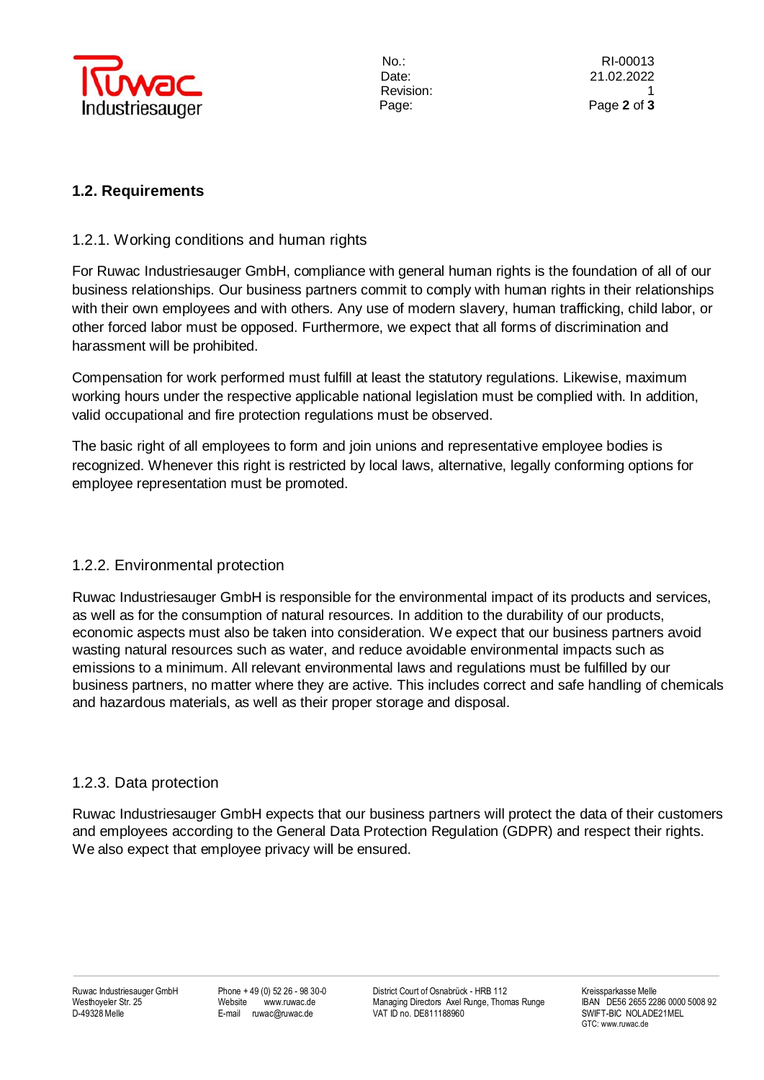

#### <span id="page-1-0"></span>**1.2. Requirements**

#### <span id="page-1-1"></span>1.2.1. Working conditions and human rights

For Ruwac Industriesauger GmbH, compliance with general human rights is the foundation of all of our business relationships. Our business partners commit to comply with human rights in their relationships with their own employees and with others. Any use of modern slavery, human trafficking, child labor, or other forced labor must be opposed. Furthermore, we expect that all forms of discrimination and harassment will be prohibited.

Compensation for work performed must fulfill at least the statutory regulations. Likewise, maximum working hours under the respective applicable national legislation must be complied with. In addition, valid occupational and fire protection regulations must be observed.

The basic right of all employees to form and join unions and representative employee bodies is recognized. Whenever this right is restricted by local laws, alternative, legally conforming options for employee representation must be promoted.

#### <span id="page-1-2"></span>1.2.2. Environmental protection

Ruwac Industriesauger GmbH is responsible for the environmental impact of its products and services, as well as for the consumption of natural resources. In addition to the durability of our products, economic aspects must also be taken into consideration. We expect that our business partners avoid wasting natural resources such as water, and reduce avoidable environmental impacts such as emissions to a minimum. All relevant environmental laws and regulations must be fulfilled by our business partners, no matter where they are active. This includes correct and safe handling of chemicals and hazardous materials, as well as their proper storage and disposal.

#### <span id="page-1-3"></span>1.2.3. Data protection

Ruwac Industriesauger GmbH expects that our business partners will protect the data of their customers and employees according to the General Data Protection Regulation (GDPR) and respect their rights. We also expect that employee privacy will be ensured.